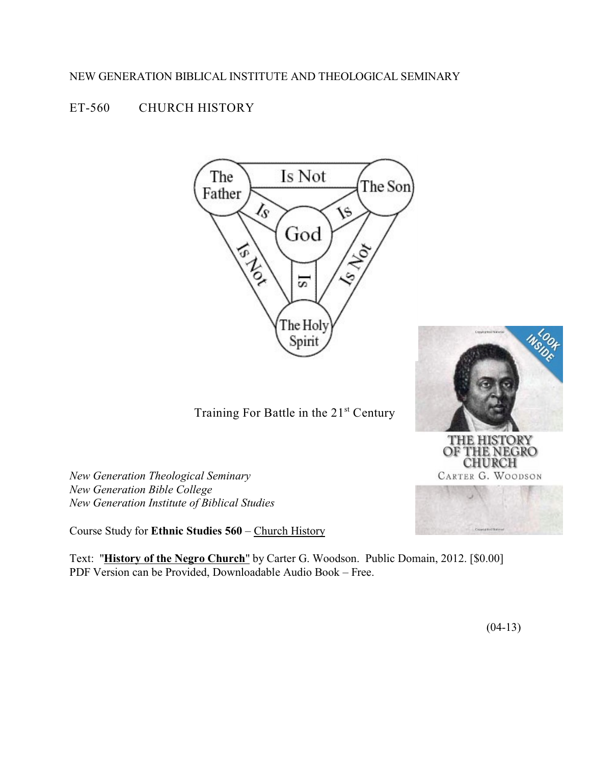## NEW GENERATION BIBLICAL INSTITUTE AND THEOLOGICAL SEMINARY

# ET-560 CHURCH HISTORY





OF THE NEGRO<br>CHURCH **CARTER G. WOODSON** 

Training For Battle in the 21<sup>st</sup> Century

*New Generation Theological Seminary New Generation Bible College New Generation Institute of Biblical Studies*

Course Study for **Ethnic Studies 560** – Church History

Text: "**History of the Negro Church**" by Carter G. Woodson. Public Domain, 2012. [\$0.00] PDF Version can be Provided, Downloadable Audio Book – Free.

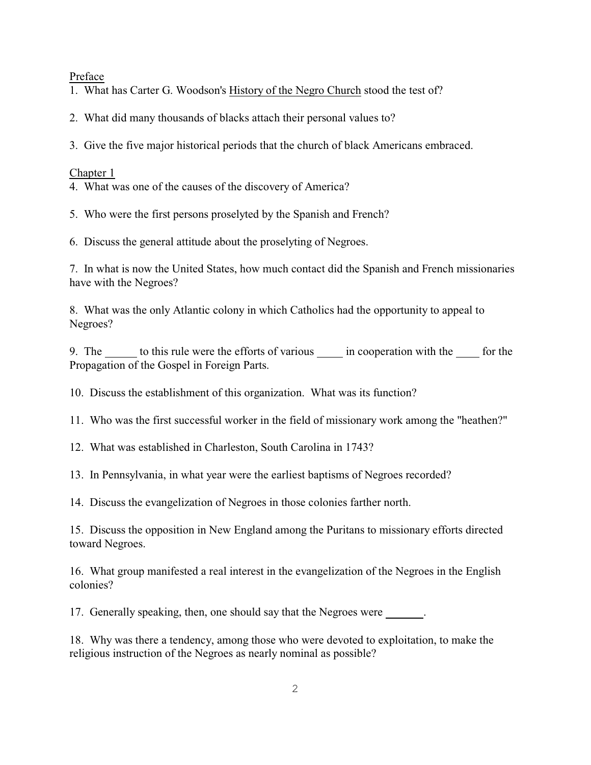Preface

1. What has Carter G. Woodson's History of the Negro Church stood the test of?

2. What did many thousands of blacks attach their personal values to?

3. Give the five major historical periods that the church of black Americans embraced.

Chapter 1

4. What was one of the causes of the discovery of America?

5. Who were the first persons proselyted by the Spanish and French?

6. Discuss the general attitude about the proselyting of Negroes.

7. In what is now the United States, how much contact did the Spanish and French missionaries have with the Negroes?

8. What was the only Atlantic colony in which Catholics had the opportunity to appeal to Negroes?

9. The to this rule were the efforts of various in cooperation with the for the Propagation of the Gospel in Foreign Parts.

10. Discuss the establishment of this organization. What was its function?

11. Who was the first successful worker in the field of missionary work among the "heathen?"

12. What was established in Charleston, South Carolina in 1743?

13. In Pennsylvania, in what year were the earliest baptisms of Negroes recorded?

14. Discuss the evangelization of Negroes in those colonies farther north.

15. Discuss the opposition in New England among the Puritans to missionary efforts directed toward Negroes.

16. What group manifested a real interest in the evangelization of the Negroes in the English colonies?

17. Generally speaking, then, one should say that the Negroes were .

18. Why was there a tendency, among those who were devoted to exploitation, to make the religious instruction of the Negroes as nearly nominal as possible?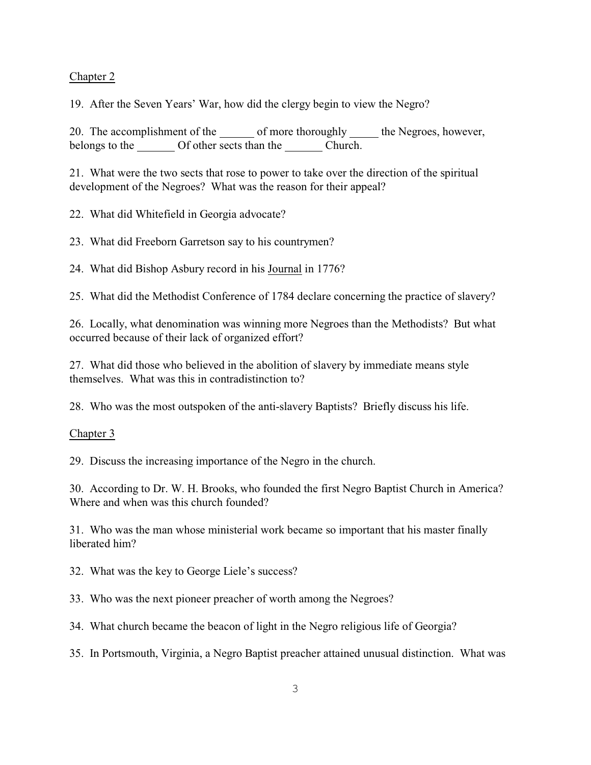## Chapter 2

19. After the Seven Years' War, how did the clergy begin to view the Negro?

20. The accomplishment of the of more thoroughly the Negroes, however, belongs to the Of other sects than the Church.

21. What were the two sects that rose to power to take over the direction of the spiritual development of the Negroes? What was the reason for their appeal?

22. What did Whitefield in Georgia advocate?

23. What did Freeborn Garretson say to his countrymen?

24. What did Bishop Asbury record in his Journal in 1776?

25. What did the Methodist Conference of 1784 declare concerning the practice of slavery?

26. Locally, what denomination was winning more Negroes than the Methodists? But what occurred because of their lack of organized effort?

27. What did those who believed in the abolition of slavery by immediate means style themselves. What was this in contradistinction to?

28. Who was the most outspoken of the anti-slavery Baptists? Briefly discuss his life.

#### Chapter 3

29. Discuss the increasing importance of the Negro in the church.

30. According to Dr. W. H. Brooks, who founded the first Negro Baptist Church in America? Where and when was this church founded?

31. Who was the man whose ministerial work became so important that his master finally liberated him?

32. What was the key to George Liele's success?

33. Who was the next pioneer preacher of worth among the Negroes?

34. What church became the beacon of light in the Negro religious life of Georgia?

35. In Portsmouth, Virginia, a Negro Baptist preacher attained unusual distinction. What was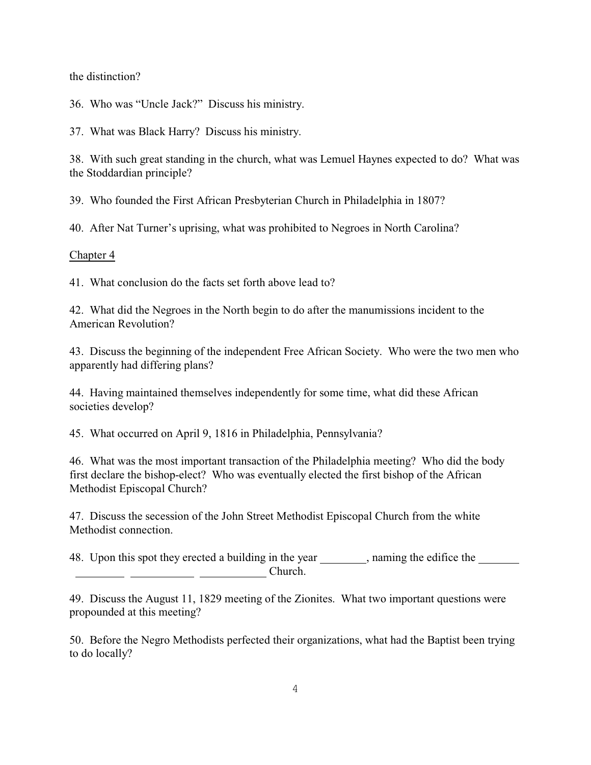the distinction?

36. Who was "Uncle Jack?" Discuss his ministry.

37. What was Black Harry? Discuss his ministry.

38. With such great standing in the church, what was Lemuel Haynes expected to do? What was the Stoddardian principle?

39. Who founded the First African Presbyterian Church in Philadelphia in 1807?

40. After Nat Turner's uprising, what was prohibited to Negroes in North Carolina?

#### Chapter 4

41. What conclusion do the facts set forth above lead to?

42. What did the Negroes in the North begin to do after the manumissions incident to the American Revolution?

43. Discuss the beginning of the independent Free African Society. Who were the two men who apparently had differing plans?

44. Having maintained themselves independently for some time, what did these African societies develop?

45. What occurred on April 9, 1816 in Philadelphia, Pennsylvania?

46. What was the most important transaction of the Philadelphia meeting? Who did the body first declare the bishop-elect? Who was eventually elected the first bishop of the African Methodist Episcopal Church?

47. Discuss the secession of the John Street Methodist Episcopal Church from the white Methodist connection.

48. Upon this spot they erected a building in the year, naming the edifice the Church.

49. Discuss the August 11, 1829 meeting of the Zionites. What two important questions were propounded at this meeting?

50. Before the Negro Methodists perfected their organizations, what had the Baptist been trying to do locally?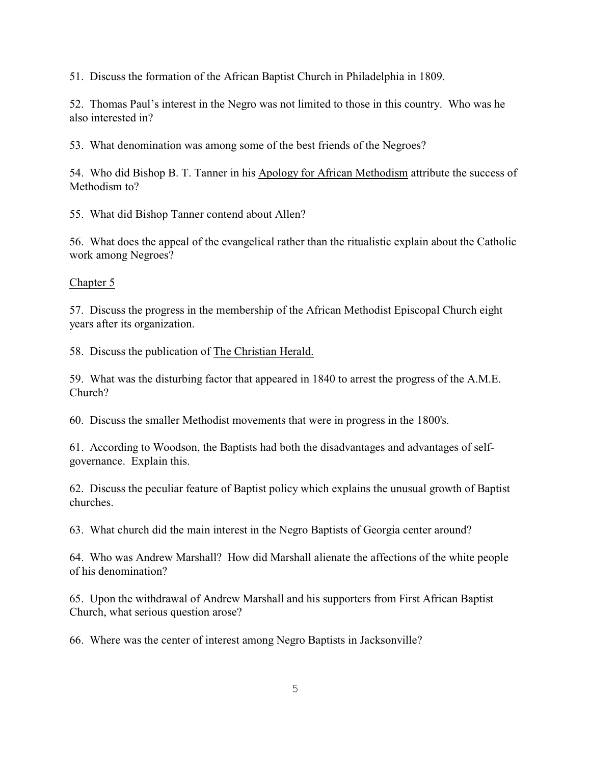51. Discuss the formation of the African Baptist Church in Philadelphia in 1809.

52. Thomas Paul's interest in the Negro was not limited to those in this country. Who was he also interested in?

53. What denomination was among some of the best friends of the Negroes?

54. Who did Bishop B. T. Tanner in his Apology for African Methodism attribute the success of Methodism to?

55. What did Bishop Tanner contend about Allen?

56. What does the appeal of the evangelical rather than the ritualistic explain about the Catholic work among Negroes?

#### Chapter 5

57. Discuss the progress in the membership of the African Methodist Episcopal Church eight years after its organization.

58. Discuss the publication of The Christian Herald.

59. What was the disturbing factor that appeared in 1840 to arrest the progress of the A.M.E. Church?

60. Discuss the smaller Methodist movements that were in progress in the 1800's.

61. According to Woodson, the Baptists had both the disadvantages and advantages of selfgovernance. Explain this.

62. Discuss the peculiar feature of Baptist policy which explains the unusual growth of Baptist churches.

63. What church did the main interest in the Negro Baptists of Georgia center around?

64. Who was Andrew Marshall? How did Marshall alienate the affections of the white people of his denomination?

65. Upon the withdrawal of Andrew Marshall and his supporters from First African Baptist Church, what serious question arose?

66. Where was the center of interest among Negro Baptists in Jacksonville?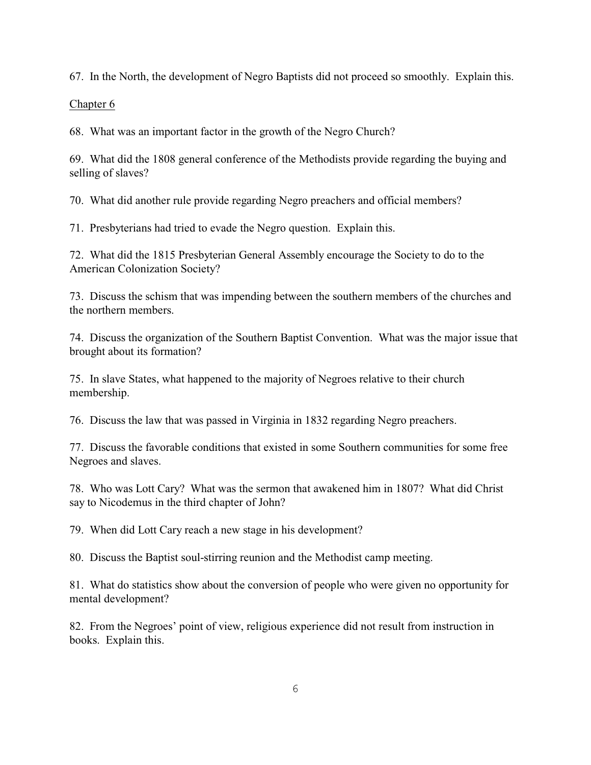67. In the North, the development of Negro Baptists did not proceed so smoothly. Explain this.

## Chapter 6

68. What was an important factor in the growth of the Negro Church?

69. What did the 1808 general conference of the Methodists provide regarding the buying and selling of slaves?

70. What did another rule provide regarding Negro preachers and official members?

71. Presbyterians had tried to evade the Negro question. Explain this.

72. What did the 1815 Presbyterian General Assembly encourage the Society to do to the American Colonization Society?

73. Discuss the schism that was impending between the southern members of the churches and the northern members.

74. Discuss the organization of the Southern Baptist Convention. What was the major issue that brought about its formation?

75. In slave States, what happened to the majority of Negroes relative to their church membership.

76. Discuss the law that was passed in Virginia in 1832 regarding Negro preachers.

77. Discuss the favorable conditions that existed in some Southern communities for some free Negroes and slaves.

78. Who was Lott Cary? What was the sermon that awakened him in 1807? What did Christ say to Nicodemus in the third chapter of John?

79. When did Lott Cary reach a new stage in his development?

80. Discuss the Baptist soul-stirring reunion and the Methodist camp meeting.

81. What do statistics show about the conversion of people who were given no opportunity for mental development?

82. From the Negroes' point of view, religious experience did not result from instruction in books. Explain this.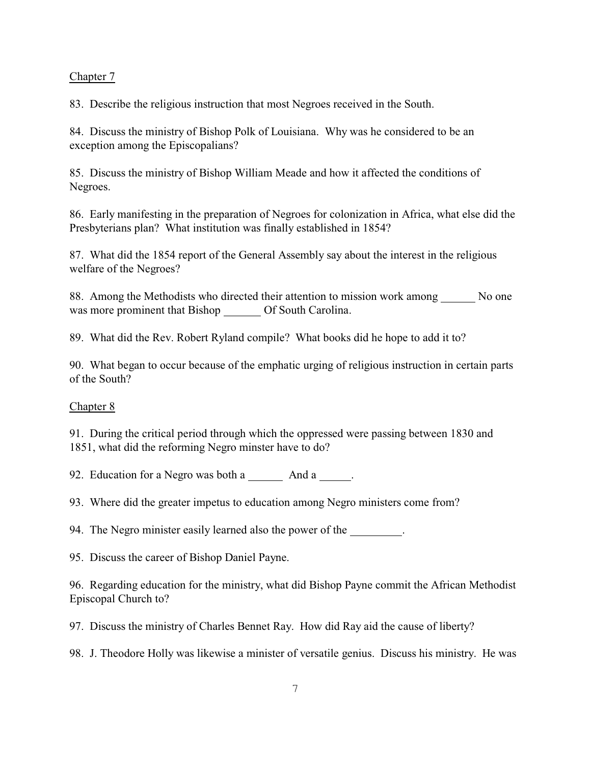#### Chapter 7

83. Describe the religious instruction that most Negroes received in the South.

84. Discuss the ministry of Bishop Polk of Louisiana. Why was he considered to be an exception among the Episcopalians?

85. Discuss the ministry of Bishop William Meade and how it affected the conditions of Negroes.

86. Early manifesting in the preparation of Negroes for colonization in Africa, what else did the Presbyterians plan? What institution was finally established in 1854?

87. What did the 1854 report of the General Assembly say about the interest in the religious welfare of the Negroes?

88. Among the Methodists who directed their attention to mission work among No one was more prominent that Bishop \_\_\_\_\_\_ Of South Carolina.

89. What did the Rev. Robert Ryland compile? What books did he hope to add it to?

90. What began to occur because of the emphatic urging of religious instruction in certain parts of the South?

#### Chapter 8

91. During the critical period through which the oppressed were passing between 1830 and 1851, what did the reforming Negro minster have to do?

92. Education for a Negro was both a And a .

93. Where did the greater impetus to education among Negro ministers come from?

94. The Negro minister easily learned also the power of the .

95. Discuss the career of Bishop Daniel Payne.

96. Regarding education for the ministry, what did Bishop Payne commit the African Methodist Episcopal Church to?

97. Discuss the ministry of Charles Bennet Ray. How did Ray aid the cause of liberty?

98. J. Theodore Holly was likewise a minister of versatile genius. Discuss his ministry. He was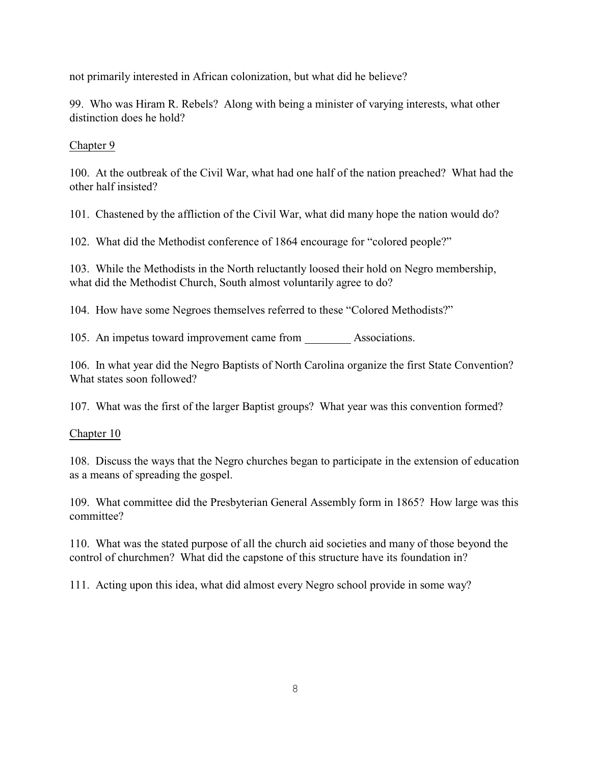not primarily interested in African colonization, but what did he believe?

99. Who was Hiram R. Rebels? Along with being a minister of varying interests, what other distinction does he hold?

## Chapter 9

100. At the outbreak of the Civil War, what had one half of the nation preached? What had the other half insisted?

101. Chastened by the affliction of the Civil War, what did many hope the nation would do?

102. What did the Methodist conference of 1864 encourage for "colored people?"

103. While the Methodists in the North reluctantly loosed their hold on Negro membership, what did the Methodist Church, South almost voluntarily agree to do?

104. How have some Negroes themselves referred to these "Colored Methodists?"

105. An impetus toward improvement came from Associations.

106. In what year did the Negro Baptists of North Carolina organize the first State Convention? What states soon followed?

107. What was the first of the larger Baptist groups? What year was this convention formed?

#### Chapter 10

108. Discuss the ways that the Negro churches began to participate in the extension of education as a means of spreading the gospel.

109. What committee did the Presbyterian General Assembly form in 1865? How large was this committee?

110. What was the stated purpose of all the church aid societies and many of those beyond the control of churchmen? What did the capstone of this structure have its foundation in?

111. Acting upon this idea, what did almost every Negro school provide in some way?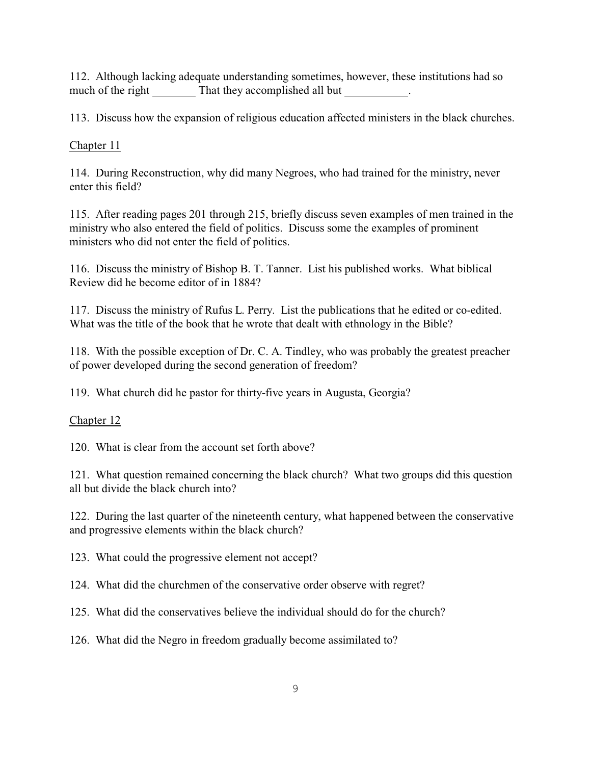112. Although lacking adequate understanding sometimes, however, these institutions had so much of the right That they accomplished all but .

113. Discuss how the expansion of religious education affected ministers in the black churches.

Chapter 11

114. During Reconstruction, why did many Negroes, who had trained for the ministry, never enter this field?

115. After reading pages 201 through 215, briefly discuss seven examples of men trained in the ministry who also entered the field of politics. Discuss some the examples of prominent ministers who did not enter the field of politics.

116. Discuss the ministry of Bishop B. T. Tanner. List his published works. What biblical Review did he become editor of in 1884?

117. Discuss the ministry of Rufus L. Perry. List the publications that he edited or co-edited. What was the title of the book that he wrote that dealt with ethnology in the Bible?

118. With the possible exception of Dr. C. A. Tindley, who was probably the greatest preacher of power developed during the second generation of freedom?

119. What church did he pastor for thirty-five years in Augusta, Georgia?

Chapter 12

120. What is clear from the account set forth above?

121. What question remained concerning the black church? What two groups did this question all but divide the black church into?

122. During the last quarter of the nineteenth century, what happened between the conservative and progressive elements within the black church?

123. What could the progressive element not accept?

124. What did the churchmen of the conservative order observe with regret?

125. What did the conservatives believe the individual should do for the church?

126. What did the Negro in freedom gradually become assimilated to?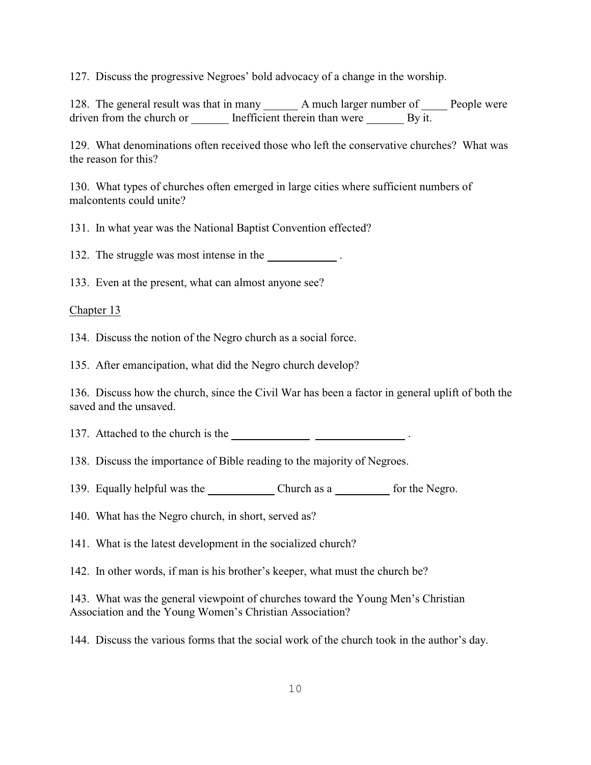127. Discuss the progressive Negroes' bold advocacy of a change in the worship.

128. The general result was that in many \_\_\_\_\_\_\_\_ A much larger number of \_\_\_\_\_\_ People were driven from the church or Inefficient therein than were By it.

129. What denominations often received those who left the conservative churches? What was the reason for this?

130. What types of churches often emerged in large cities where sufficient numbers of malcontents could unite?

131. In what year was the National Baptist Convention effected?

132. The struggle was most intense in the .

133. Even at the present, what can almost anyone see?

Chapter 13

134. Discuss the notion of the Negro church as a social force.

135. After emancipation, what did the Negro church develop?

136. Discuss how the church, since the Civil War has been a factor in general uplift of both the saved and the unsaved.

137. Attached to the church is the <u>same and the set of the set of the set of the set of the set of the set of the set of the set of the set of the set of the set of the set of the set of the set of the set of the set of t</u>

138. Discuss the importance of Bible reading to the majority of Negroes.

139. Equally helpful was the Church as a for the Negro.

140. What has the Negro church, in short, served as?

141. What is the latest development in the socialized church?

142. In other words, if man is his brother's keeper, what must the church be?

143. What was the general viewpoint of churches toward the Young Men's Christian Association and the Young Women's Christian Association?

144. Discuss the various forms that the social work of the church took in the author's day.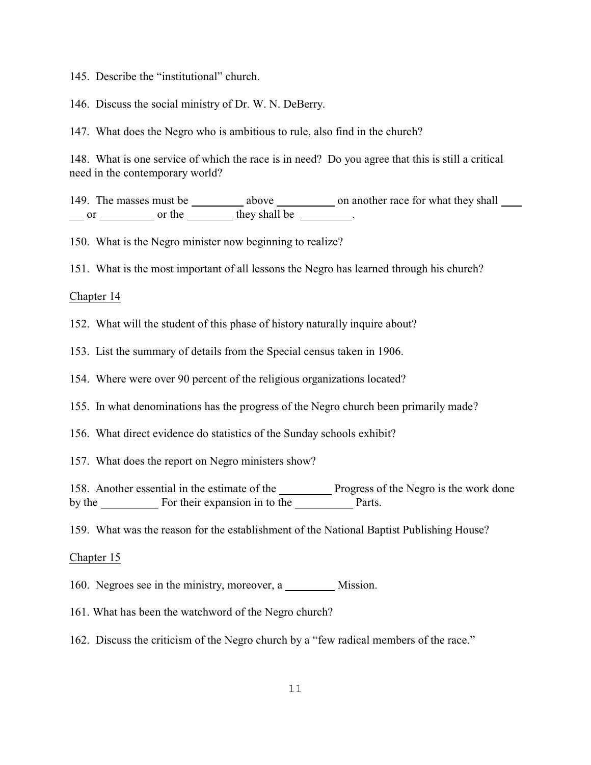145. Describe the "institutional" church.

146. Discuss the social ministry of Dr. W. N. DeBerry.

147. What does the Negro who is ambitious to rule, also find in the church?

148. What is one service of which the race is in need? Do you agree that this is still a critical need in the contemporary world?

149. The masses must be \_\_\_\_\_\_\_\_\_\_ above \_\_\_\_\_\_\_\_\_\_ on another race for what they shall \_\_\_\_\_ or or the they shall be .

150. What is the Negro minister now beginning to realize?

151. What is the most important of all lessons the Negro has learned through his church?

#### Chapter 14

152. What will the student of this phase of history naturally inquire about?

153. List the summary of details from the Special census taken in 1906.

154. Where were over 90 percent of the religious organizations located?

155. In what denominations has the progress of the Negro church been primarily made?

156. What direct evidence do statistics of the Sunday schools exhibit?

157. What does the report on Negro ministers show?

158. Another essential in the estimate of the Progress of the Negro is the work done by the For their expansion in to the Parts.

159. What was the reason for the establishment of the National Baptist Publishing House?

#### Chapter 15

160. Negroes see in the ministry, moreover, a Mission.

161. What has been the watchword of the Negro church?

162. Discuss the criticism of the Negro church by a "few radical members of the race."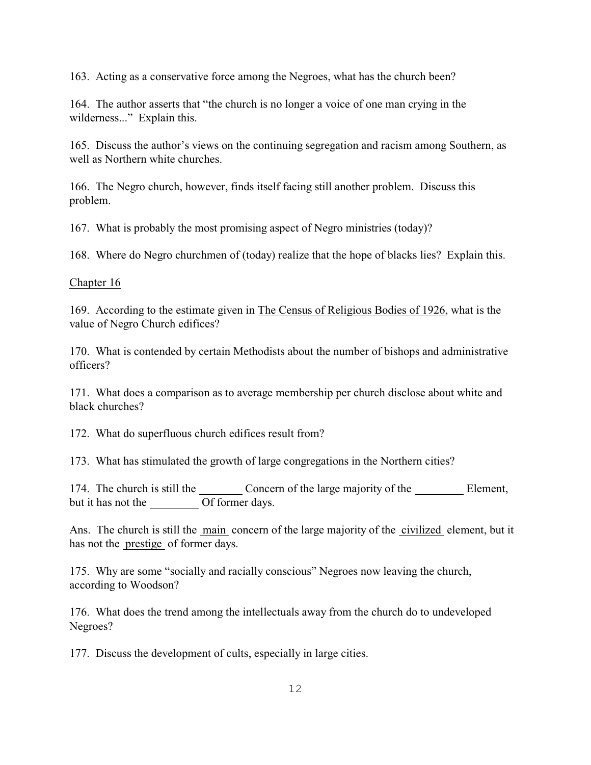163. Acting as a conservative force among the Negroes, what has the church been?

164. The author asserts that "the church is no longer a voice of one man crying in the wilderness..." Explain this.

165. Discuss the author's views on the continuing segregation and racism among Southern, as well as Northern white churches.

166. The Negro church, however, finds itself facing still another problem. Discuss this problem.

167. What is probably the most promising aspect of Negro ministries (today)?

168. Where do Negro churchmen of (today) realize that the hope of blacks lies? Explain this.

## Chapter 16

169. According to the estimate given in The Census of Religious Bodies of 1926, what is the value of Negro Church edifices?

170. What is contended by certain Methodists about the number of bishops and administrative officers?

171. What does a comparison as to average membership per church disclose about white and black churches?

172. What do superfluous church edifices result from?

173. What has stimulated the growth of large congregations in the Northern cities?

174. The church is still the Concern of the large majority of the Element, but it has not the Of former days.

Ans. The church is still the main concern of the large majority of the civilized element, but it has not the prestige of former days.

175. Why are some "socially and racially conscious" Negroes now leaving the church, according to Woodson?

176. What does the trend among the intellectuals away from the church do to undeveloped Negroes?

177. Discuss the development of cults, especially in large cities.